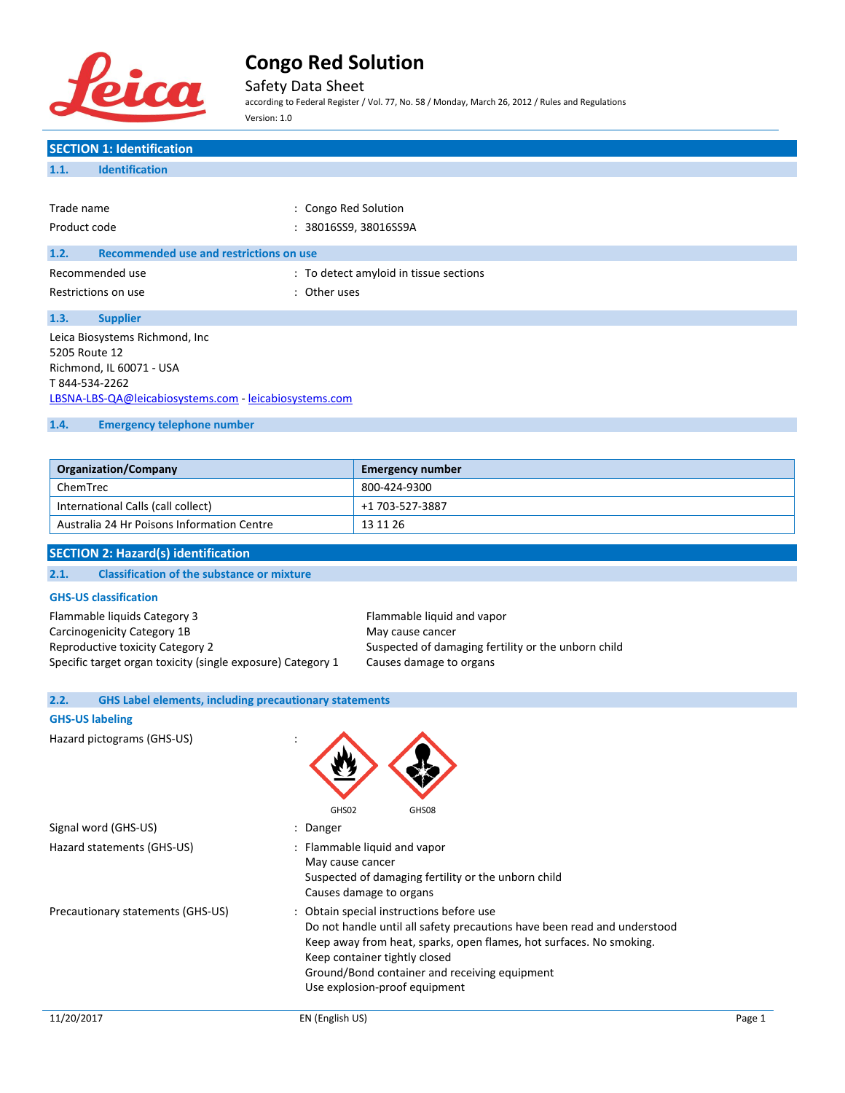

Safety Data Sheet

according to Federal Register / Vol. 77, No. 58 / Monday, March 26, 2012 / Rules and Regulations Version: 1.0

| <b>SECTION 1: Identification</b>                       |                                        |  |
|--------------------------------------------------------|----------------------------------------|--|
| <b>Identification</b><br>1.1.                          |                                        |  |
|                                                        |                                        |  |
| Trade name                                             | : Congo Red Solution                   |  |
| Product code                                           | : 38016SS9, 38016SS9A                  |  |
| Recommended use and restrictions on use<br>1.2.        |                                        |  |
|                                                        |                                        |  |
| Recommended use                                        | : To detect amyloid in tissue sections |  |
| Restrictions on use                                    | : Other uses                           |  |
| 1.3.<br><b>Supplier</b>                                |                                        |  |
| Leica Biosystems Richmond, Inc.                        |                                        |  |
| 5205 Route 12                                          |                                        |  |
| Richmond, IL 60071 - USA                               |                                        |  |
| T 844-534-2262                                         |                                        |  |
| LBSNA-LBS-QA@leicabiosystems.com - leicabiosystems.com |                                        |  |
|                                                        |                                        |  |
| <b>Emergency telephone number</b><br>1.4.              |                                        |  |
|                                                        |                                        |  |

| <b>Organization/Company</b>                | <b>Emergency number</b> |
|--------------------------------------------|-------------------------|
| ChemTrec                                   | 800-424-9300            |
| International Calls (call collect)         | +1 703-527-3887         |
| Australia 24 Hr Poisons Information Centre | 13 11 26                |

### **SECTION 2: Hazard(s) identification**

#### **2.1. Classification of the substance or mixture**

#### **GHS-US classification**

| Flammable liquids Category 3                                |
|-------------------------------------------------------------|
| Carcinogenicity Category 1B                                 |
| Reproductive toxicity Category 2                            |
| Specific target organ toxicity (single exposure) Category 1 |

Flammable liquid and vapor May cause cancer Suspected of damaging fertility or the unborn child Causes damage to organs

# **2.2. GHS Label elements, including precautionary statements**

# **GHS-US labeling**

Hazard pictograms (GHS-US) :

| GHS02<br>GHS08                                                                                                                                                                                                                                                                                                 |
|----------------------------------------------------------------------------------------------------------------------------------------------------------------------------------------------------------------------------------------------------------------------------------------------------------------|
| : Danger                                                                                                                                                                                                                                                                                                       |
| : Flammable liquid and vapor<br>May cause cancer<br>Suspected of damaging fertility or the unborn child<br>Causes damage to organs                                                                                                                                                                             |
| : Obtain special instructions before use<br>Do not handle until all safety precautions have been read and understood<br>Keep away from heat, sparks, open flames, hot surfaces. No smoking.<br>Keep container tightly closed<br>Ground/Bond container and receiving equipment<br>Use explosion-proof equipment |
|                                                                                                                                                                                                                                                                                                                |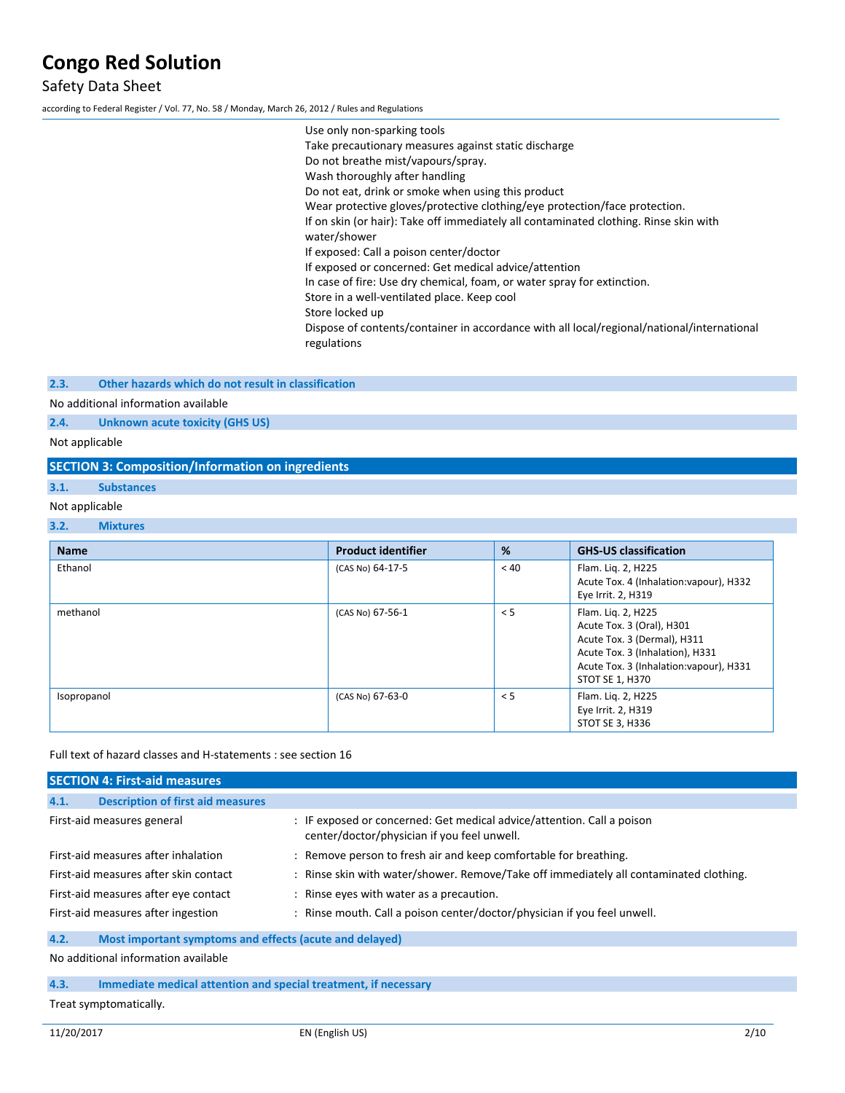# Safety Data Sheet

according to Federal Register / Vol. 77, No. 58 / Monday, March 26, 2012 / Rules and Regulations

| Use only non-sparking tools                                                                               |
|-----------------------------------------------------------------------------------------------------------|
| Take precautionary measures against static discharge                                                      |
| Do not breathe mist/vapours/spray.                                                                        |
| Wash thoroughly after handling                                                                            |
| Do not eat, drink or smoke when using this product                                                        |
| Wear protective gloves/protective clothing/eye protection/face protection.                                |
| If on skin (or hair): Take off immediately all contaminated clothing. Rinse skin with<br>water/shower     |
| If exposed: Call a poison center/doctor                                                                   |
| If exposed or concerned: Get medical advice/attention                                                     |
| In case of fire: Use dry chemical, foam, or water spray for extinction.                                   |
| Store in a well-ventilated place. Keep cool                                                               |
| Store locked up                                                                                           |
| Dispose of contents/container in accordance with all local/regional/national/international<br>regulations |

### **2.3. Other hazards which do not result in classification**

### No additional information available

**2.4. Unknown acute toxicity (GHS US)**

Not applicable

|                | <b>SECTION 3: Composition/Information on ingredients</b> |                           |      |                                                                                                                                                              |
|----------------|----------------------------------------------------------|---------------------------|------|--------------------------------------------------------------------------------------------------------------------------------------------------------------|
| 3.1.           | <b>Substances</b>                                        |                           |      |                                                                                                                                                              |
| Not applicable |                                                          |                           |      |                                                                                                                                                              |
| 3.2.           | <b>Mixtures</b>                                          |                           |      |                                                                                                                                                              |
| <b>Name</b>    |                                                          | <b>Product identifier</b> | %    | <b>GHS-US classification</b>                                                                                                                                 |
| Ethanol        |                                                          | (CAS No) 64-17-5          | < 40 | Flam. Lig. 2, H225<br>Acute Tox. 4 (Inhalation: vapour), H332<br>Eye Irrit. 2, H319                                                                          |
| methanol       |                                                          | (CAS No) 67-56-1          | < 5  | Flam. Lig. 2, H225<br>Acute Tox. 3 (Oral), H301<br>Acute Tox. 3 (Dermal), H311<br>Acute Tox. 3 (Inhalation), H331<br>Acute Tox. 3 (Inhalation: vapour), H331 |

#### Full text of hazard classes and H-statements : see section 16

| <b>SECTION 4: First-aid measures</b>                            |                                                                                                                       |  |
|-----------------------------------------------------------------|-----------------------------------------------------------------------------------------------------------------------|--|
| <b>Description of first aid measures</b><br>4.1.                |                                                                                                                       |  |
| First-aid measures general                                      | : IF exposed or concerned: Get medical advice/attention. Call a poison<br>center/doctor/physician if you feel unwell. |  |
| First-aid measures after inhalation                             | : Remove person to fresh air and keep comfortable for breathing.                                                      |  |
| First-aid measures after skin contact                           | : Rinse skin with water/shower. Remove/Take off immediately all contaminated clothing.                                |  |
| First-aid measures after eye contact                            | : Rinse eyes with water as a precaution.                                                                              |  |
| First-aid measures after ingestion                              | : Rinse mouth. Call a poison center/doctor/physician if you feel unwell.                                              |  |
| 4.2.<br>Most important symptoms and effects (acute and delayed) |                                                                                                                       |  |
| No additional information available                             |                                                                                                                       |  |

### **4.3. Immediate medical attention and special treatment, if necessary**

Treat symptomatically.

Isopropanol (CAS No) 67-63-0 < 5 Flam. Liq. 2, H225

STOT SE 1, H370

Eye Irrit. 2, H319 STOT SE 3, H336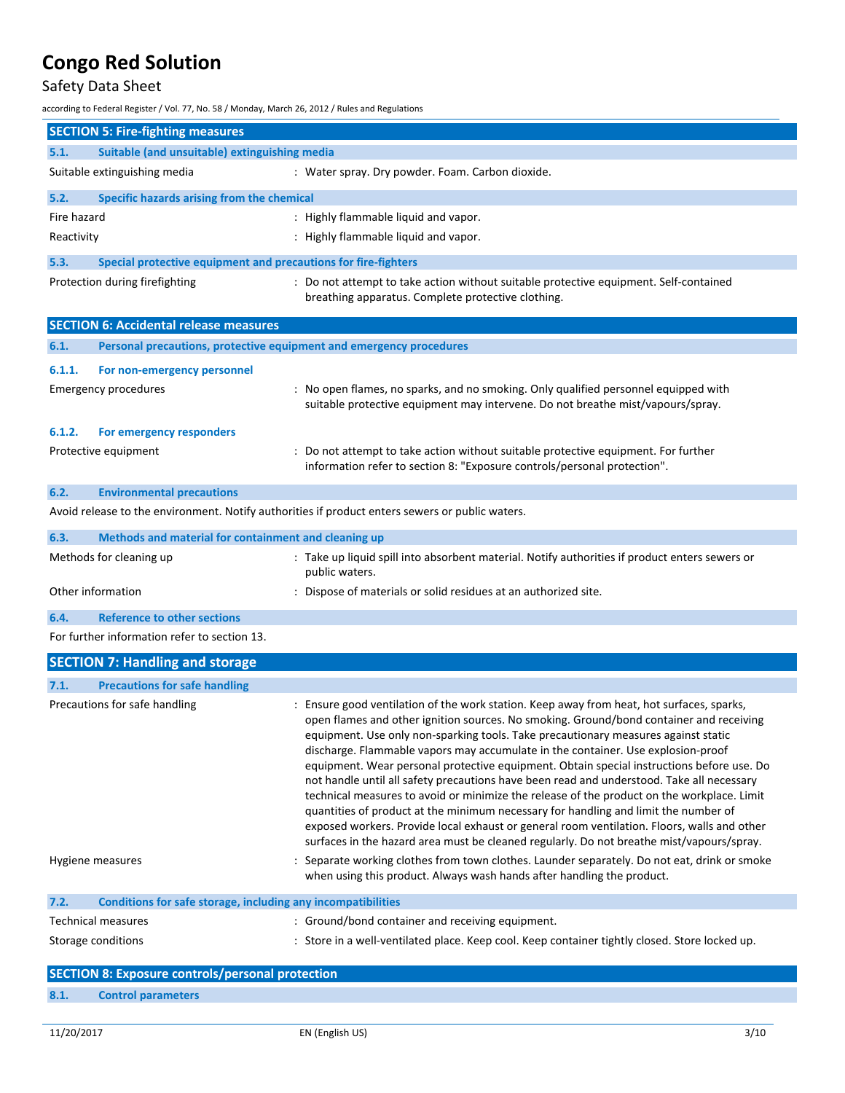# Safety Data Sheet

according to Federal Register / Vol. 77, No. 58 / Monday, March 26, 2012 / Rules and Regulations

|                                               | <b>SECTION 5: Fire-fighting measures</b>                            |                                                                                                                                             |
|-----------------------------------------------|---------------------------------------------------------------------|---------------------------------------------------------------------------------------------------------------------------------------------|
| 5.1.                                          | Suitable (and unsuitable) extinguishing media                       |                                                                                                                                             |
|                                               | Suitable extinguishing media                                        | : Water spray. Dry powder. Foam. Carbon dioxide.                                                                                            |
| 5.2.                                          | Specific hazards arising from the chemical                          |                                                                                                                                             |
| Fire hazard                                   |                                                                     | : Highly flammable liquid and vapor.                                                                                                        |
| Reactivity                                    |                                                                     | : Highly flammable liquid and vapor.                                                                                                        |
| 5.3.                                          | Special protective equipment and precautions for fire-fighters      |                                                                                                                                             |
|                                               | Protection during firefighting                                      | : Do not attempt to take action without suitable protective equipment. Self-contained<br>breathing apparatus. Complete protective clothing. |
| <b>SECTION 6: Accidental release measures</b> |                                                                     |                                                                                                                                             |
| 6.1.                                          | Personal precautions, protective equipment and emergency procedures |                                                                                                                                             |

| 6.1.1. | For non-emergency personnel      |                                                                                                                                                                        |
|--------|----------------------------------|------------------------------------------------------------------------------------------------------------------------------------------------------------------------|
|        | <b>Emergency procedures</b>      | : No open flames, no sparks, and no smoking. Only qualified personnel equipped with<br>suitable protective equipment may intervene. Do not breathe mist/vapours/spray. |
| 6.1.2. | For emergency responders         |                                                                                                                                                                        |
|        | Protective equipment             | : Do not attempt to take action without suitable protective equipment. For further<br>information refer to section 8: "Exposure controls/personal protection".         |
| 6.2.   | <b>Environmental precautions</b> |                                                                                                                                                                        |

Avoid release to the environment. Notify authorities if product enters sewers or public waters.

| 6.3.                                        | Methods and material for containment and cleaning up |                                                                                                                  |
|---------------------------------------------|------------------------------------------------------|------------------------------------------------------------------------------------------------------------------|
|                                             | Methods for cleaning up                              | : Take up liquid spill into absorbent material. Notify authorities if product enters sewers or<br>public waters. |
|                                             | Other information                                    | : Dispose of materials or solid residues at an authorized site.                                                  |
| 6.4.                                        | <b>Reference to other sections</b>                   |                                                                                                                  |
| Ear further information refer to section 12 |                                                      |                                                                                                                  |

For further information refer to section 13.

| <b>SECTION 7: Handling and storage</b>                               |                                                                                                                                                                                                                                                                                                                                                                                                                                                                                                                                                                                                                                                                                                                                                                                                                                                                                                                                           |
|----------------------------------------------------------------------|-------------------------------------------------------------------------------------------------------------------------------------------------------------------------------------------------------------------------------------------------------------------------------------------------------------------------------------------------------------------------------------------------------------------------------------------------------------------------------------------------------------------------------------------------------------------------------------------------------------------------------------------------------------------------------------------------------------------------------------------------------------------------------------------------------------------------------------------------------------------------------------------------------------------------------------------|
| <b>Precautions for safe handling</b><br>7.1.                         |                                                                                                                                                                                                                                                                                                                                                                                                                                                                                                                                                                                                                                                                                                                                                                                                                                                                                                                                           |
| Precautions for safe handling                                        | : Ensure good ventilation of the work station. Keep away from heat, hot surfaces, sparks,<br>open flames and other ignition sources. No smoking. Ground/bond container and receiving<br>equipment. Use only non-sparking tools. Take precautionary measures against static<br>discharge. Flammable vapors may accumulate in the container. Use explosion-proof<br>equipment. Wear personal protective equipment. Obtain special instructions before use. Do<br>not handle until all safety precautions have been read and understood. Take all necessary<br>technical measures to avoid or minimize the release of the product on the workplace. Limit<br>quantities of product at the minimum necessary for handling and limit the number of<br>exposed workers. Provide local exhaust or general room ventilation. Floors, walls and other<br>surfaces in the hazard area must be cleaned regularly. Do not breathe mist/vapours/spray. |
| Hygiene measures                                                     | : Separate working clothes from town clothes. Launder separately. Do not eat, drink or smoke<br>when using this product. Always wash hands after handling the product.                                                                                                                                                                                                                                                                                                                                                                                                                                                                                                                                                                                                                                                                                                                                                                    |
| Conditions for safe storage, including any incompatibilities<br>7.2. |                                                                                                                                                                                                                                                                                                                                                                                                                                                                                                                                                                                                                                                                                                                                                                                                                                                                                                                                           |
| <b>Technical measures</b>                                            | : Ground/bond container and receiving equipment.                                                                                                                                                                                                                                                                                                                                                                                                                                                                                                                                                                                                                                                                                                                                                                                                                                                                                          |
| Storage conditions                                                   | : Store in a well-ventilated place. Keep cool. Keep container tightly closed. Store locked up.                                                                                                                                                                                                                                                                                                                                                                                                                                                                                                                                                                                                                                                                                                                                                                                                                                            |
| SECTION 8: Evnosure controls/nersonal protection                     |                                                                                                                                                                                                                                                                                                                                                                                                                                                                                                                                                                                                                                                                                                                                                                                                                                                                                                                                           |

|      | <b>SECTION 8: Exposure controls/personal protection</b> |
|------|---------------------------------------------------------|
| 8.1. | <b>Control parameters</b>                               |
|      |                                                         |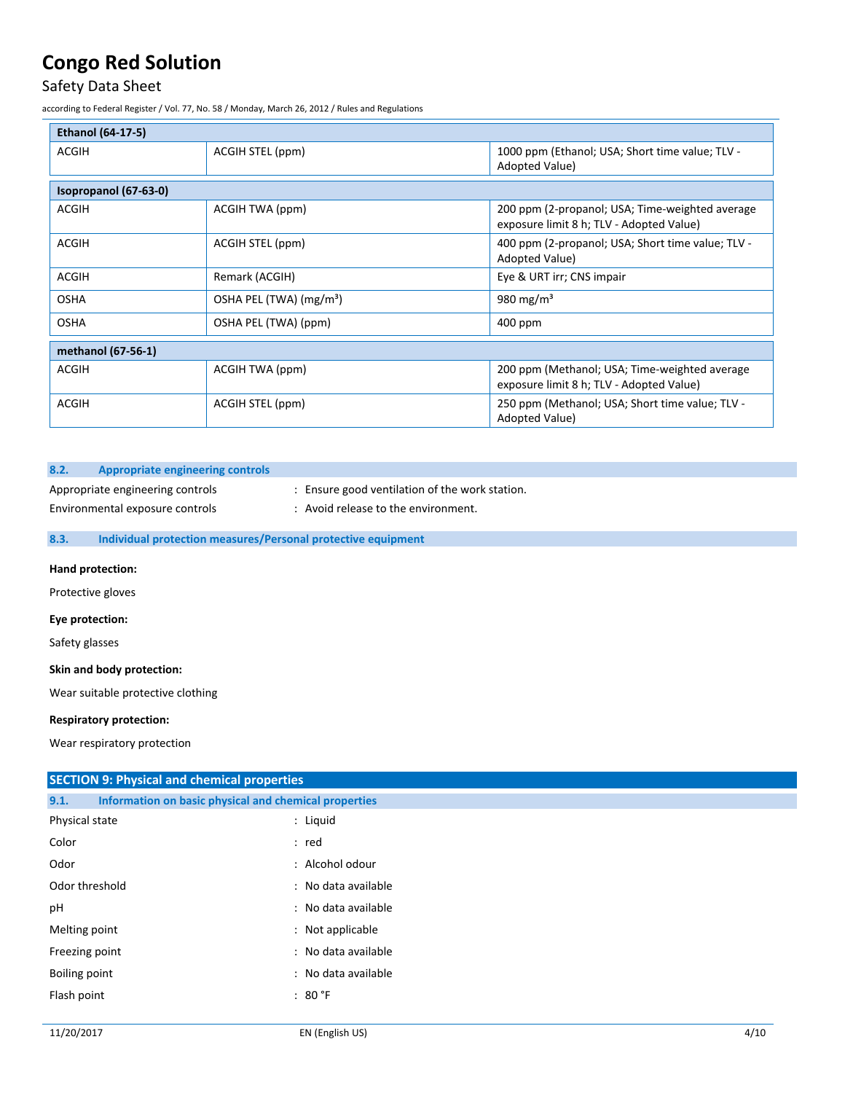# Safety Data Sheet

according to Federal Register / Vol. 77, No. 58 / Monday, March 26, 2012 / Rules and Regulations

| <b>Ethanol (64-17-5)</b> |                                     |                                                                                             |  |
|--------------------------|-------------------------------------|---------------------------------------------------------------------------------------------|--|
| <b>ACGIH</b>             | ACGIH STEL (ppm)                    | 1000 ppm (Ethanol; USA; Short time value; TLV -<br>Adopted Value)                           |  |
| Isopropanol (67-63-0)    |                                     |                                                                                             |  |
| <b>ACGIH</b>             | ACGIH TWA (ppm)                     | 200 ppm (2-propanol; USA; Time-weighted average<br>exposure limit 8 h; TLV - Adopted Value) |  |
| <b>ACGIH</b>             | ACGIH STEL (ppm)                    | 400 ppm (2-propanol; USA; Short time value; TLV -<br>Adopted Value)                         |  |
| <b>ACGIH</b>             | Remark (ACGIH)                      | Eye & URT irr; CNS impair                                                                   |  |
| <b>OSHA</b>              | OSHA PEL (TWA) (mg/m <sup>3</sup> ) | 980 mg/m <sup>3</sup>                                                                       |  |
| <b>OSHA</b>              | OSHA PEL (TWA) (ppm)                | 400 ppm                                                                                     |  |
| methanol (67-56-1)       |                                     |                                                                                             |  |
| <b>ACGIH</b>             | ACGIH TWA (ppm)                     | 200 ppm (Methanol; USA; Time-weighted average<br>exposure limit 8 h; TLV - Adopted Value)   |  |
| <b>ACGIH</b>             | ACGIH STEL (ppm)                    | 250 ppm (Methanol; USA; Short time value; TLV -<br>Adopted Value)                           |  |

### **8.2. Appropriate engineering controls**

Environmental exposure controls : Avoid release to the environment.

Appropriate engineering controls : Ensure good ventilation of the work station.

# **8.3. Individual protection measures/Personal protective equipment**

### **Hand protection:**

Protective gloves

#### **Eye protection:**

Safety glasses

#### **Skin and body protection:**

Wear suitable protective clothing

### **Respiratory protection:**

Wear respiratory protection

| <b>SECTION 9: Physical and chemical properties</b> |  |                                                       |
|----------------------------------------------------|--|-------------------------------------------------------|
| 9.1.                                               |  | Information on basic physical and chemical properties |
| Physical state                                     |  | : Liquid                                              |
| Color                                              |  | : red                                                 |
| Odor                                               |  | : Alcohol odour                                       |
| Odor threshold                                     |  | : No data available                                   |
| pH                                                 |  | : No data available                                   |
| Melting point                                      |  | : Not applicable                                      |
| Freezing point                                     |  | : No data available                                   |
| Boiling point                                      |  | : No data available                                   |
| Flash point                                        |  | : 80 °F                                               |
|                                                    |  |                                                       |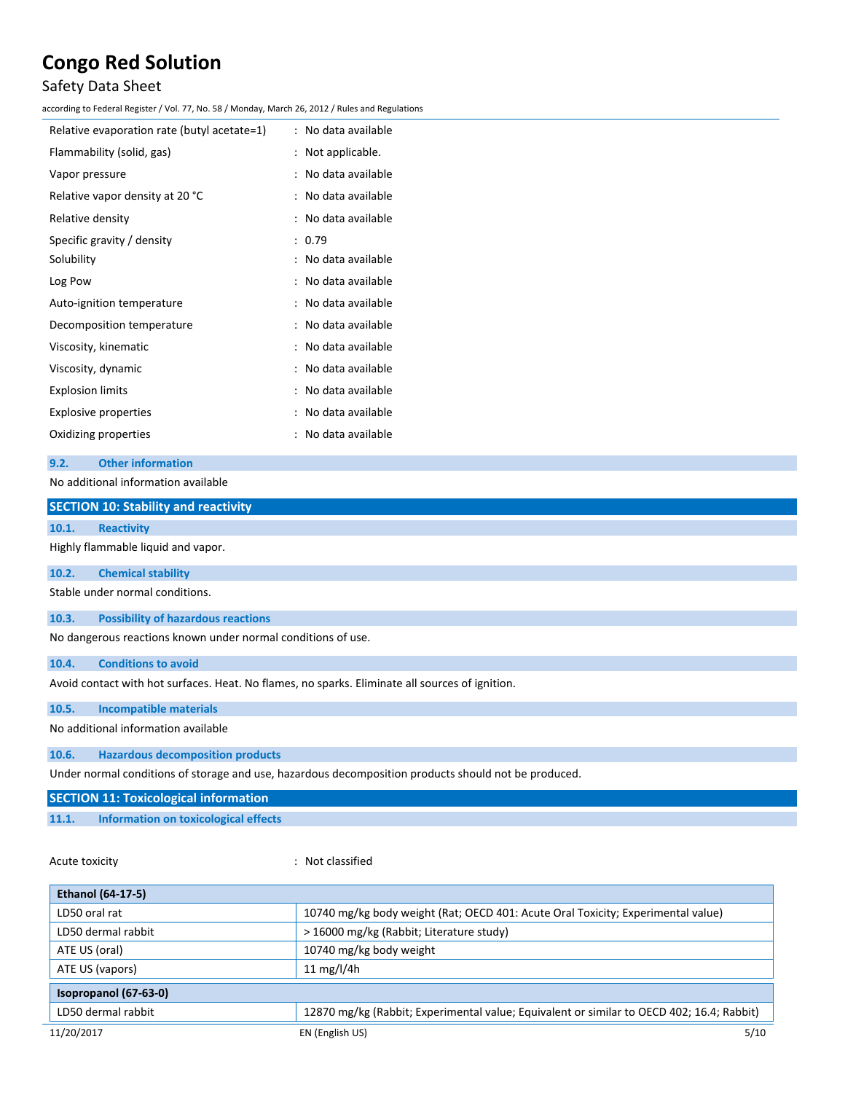# Safety Data Sheet

according to Federal Register / Vol. 77, No. 58 / Monday, March 26, 2012 / Rules and Regulations

| Relative evaporation rate (butyl acetate=1) | ÷              | No data available   |
|---------------------------------------------|----------------|---------------------|
| Flammability (solid, gas)                   | $\ddot{\cdot}$ | Not applicable.     |
| Vapor pressure                              |                | No data available   |
| Relative vapor density at 20 °C             |                | No data available   |
| Relative density                            |                | No data available   |
| Specific gravity / density                  |                | : 0.79              |
| Solubility                                  |                | No data available   |
| Log Pow                                     |                | : No data available |
| Auto-ignition temperature                   |                | : No data available |
| Decomposition temperature                   |                | No data available   |
| Viscosity, kinematic                        |                | No data available   |
| Viscosity, dynamic                          |                | : No data available |
| <b>Explosion limits</b>                     |                | No data available   |
| <b>Explosive properties</b>                 |                | No data available   |
| Oxidizing properties                        |                | No data available   |
|                                             |                |                     |

# **9.2. Other information**

| No additional information available                                                                  |  |  |  |
|------------------------------------------------------------------------------------------------------|--|--|--|
| <b>SECTION 10: Stability and reactivity</b>                                                          |  |  |  |
| 10.1.<br><b>Reactivity</b>                                                                           |  |  |  |
| Highly flammable liquid and vapor.                                                                   |  |  |  |
| 10.2.<br><b>Chemical stability</b>                                                                   |  |  |  |
| Stable under normal conditions.                                                                      |  |  |  |
| <b>Possibility of hazardous reactions</b><br>10.3.                                                   |  |  |  |
| No dangerous reactions known under normal conditions of use.                                         |  |  |  |
| <b>Conditions to avoid</b><br>10.4.                                                                  |  |  |  |
| Avoid contact with hot surfaces. Heat. No flames, no sparks. Eliminate all sources of ignition.      |  |  |  |
| 10.5.<br>Incompatible materials                                                                      |  |  |  |
| No additional information available                                                                  |  |  |  |
| <b>Hazardous decomposition products</b><br>10.6.                                                     |  |  |  |
| Under normal conditions of storage and use, hazardous decomposition products should not be produced. |  |  |  |
| <b>SECTION 11: Toxicological information</b>                                                         |  |  |  |

**11.1. Information on toxicological effects**

Acute toxicity **in the case of the Case of the Case of the Case of the Case of the Case of the Case of the Case of the Case of the Case of the Case of the Case of the Case of the Case of the Case of the Case of the Case of** 

| <b>Ethanol (64-17-5)</b> |                                                                                           |  |
|--------------------------|-------------------------------------------------------------------------------------------|--|
| LD50 oral rat            | 10740 mg/kg body weight (Rat; OECD 401: Acute Oral Toxicity; Experimental value)          |  |
| LD50 dermal rabbit       | > 16000 mg/kg (Rabbit; Literature study)                                                  |  |
| ATE US (oral)            | 10740 mg/kg body weight                                                                   |  |
| ATE US (vapors)          | 11 $mg/l/4h$                                                                              |  |
| Isopropanol (67-63-0)    |                                                                                           |  |
| LD50 dermal rabbit       | 12870 mg/kg (Rabbit; Experimental value; Equivalent or similar to OECD 402; 16.4; Rabbit) |  |
| 11/20/2017               | 5/10<br>EN (English US)                                                                   |  |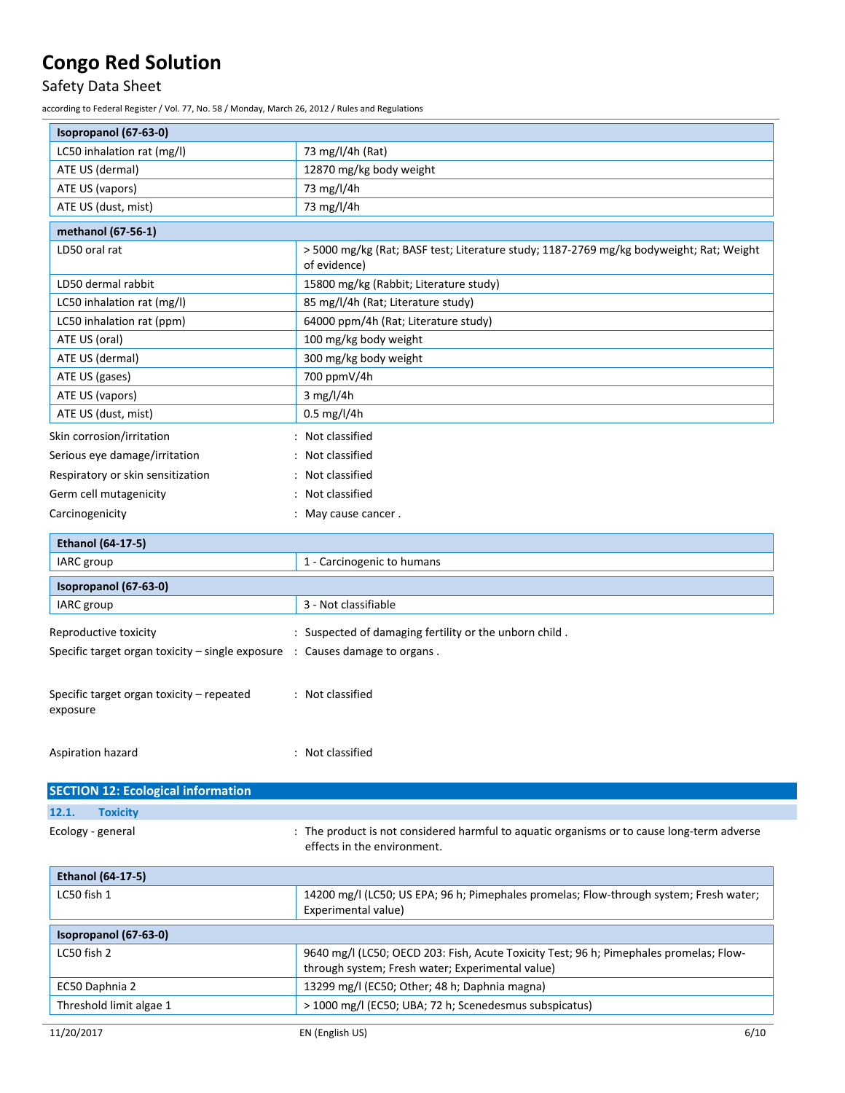# Safety Data Sheet

according to Federal Register / Vol. 77, No. 58 / Monday, March 26, 2012 / Rules and Regulations

| Isopropanol (67-63-0)             |                                                                                                         |
|-----------------------------------|---------------------------------------------------------------------------------------------------------|
| LC50 inhalation rat (mg/l)        | 73 mg/l/4h (Rat)                                                                                        |
| ATE US (dermal)                   | 12870 mg/kg body weight                                                                                 |
| ATE US (vapors)                   | 73 mg/l/4h                                                                                              |
| ATE US (dust, mist)               | 73 mg/l/4h                                                                                              |
| methanol (67-56-1)                |                                                                                                         |
| LD50 oral rat                     | > 5000 mg/kg (Rat; BASF test; Literature study; 1187-2769 mg/kg bodyweight; Rat; Weight<br>of evidence) |
| LD50 dermal rabbit                | 15800 mg/kg (Rabbit; Literature study)                                                                  |
| LC50 inhalation rat (mg/l)        | 85 mg/l/4h (Rat; Literature study)                                                                      |
| LC50 inhalation rat (ppm)         | 64000 ppm/4h (Rat; Literature study)                                                                    |
| ATE US (oral)                     | 100 mg/kg body weight                                                                                   |
| ATE US (dermal)                   | 300 mg/kg body weight                                                                                   |
| ATE US (gases)                    | 700 ppmV/4h                                                                                             |
| ATE US (vapors)                   | $3$ mg/l/4h                                                                                             |
| ATE US (dust, mist)               | $0.5$ mg/l/4h                                                                                           |
| Skin corrosion/irritation         | : Not classified                                                                                        |
| Serious eye damage/irritation     | : Not classified                                                                                        |
| Respiratory or skin sensitization | : Not classified                                                                                        |
| Germ cell mutagenicity            | : Not classified                                                                                        |
| Carcinogenicity                   | : May cause cancer.                                                                                     |

| <b>Ethanol (64-17-5)</b>                                                               |                                                        |
|----------------------------------------------------------------------------------------|--------------------------------------------------------|
| IARC group                                                                             | 1 - Carcinogenic to humans                             |
| Isopropanol (67-63-0)                                                                  |                                                        |
| IARC group                                                                             | 3 - Not classifiable                                   |
| Reproductive toxicity                                                                  | : Suspected of damaging fertility or the unborn child. |
| Specific target organ toxicity – single exposure $\therefore$ Causes damage to organs. |                                                        |
| Specific target organ toxicity – repeated<br>exposure                                  | : Not classified                                       |
| Aspiration hazard                                                                      | : Not classified                                       |

| <b>SECTION 12: Ecological information</b> |                                                                                                                           |
|-------------------------------------------|---------------------------------------------------------------------------------------------------------------------------|
| 12.1.<br><b>Toxicity</b>                  |                                                                                                                           |
| Ecology - general                         | : The product is not considered harmful to aguatic organisms or to cause long-term adverse<br>effects in the environment. |
| <b>Ethanol (64-17-5)</b>                  |                                                                                                                           |
| LC50 fish 1                               | 14200 mg/l (LC50; US EPA; 96 h; Pimephales promelas; Flow-through system; Fresh water;<br>Experimental value)             |
| Isopropanol (67-63-0)                     |                                                                                                                           |
| LC50 fish 2                               | 9640 mg/l (LC50; OECD 203: Fish, Acute Toxicity Test; 96 h; Pimephales promelas; Flow-                                    |

| 150p10p110110700000     |                                                                                                                                            |
|-------------------------|--------------------------------------------------------------------------------------------------------------------------------------------|
| LC50 fish 2             | 9640 mg/l (LC50; OECD 203: Fish, Acute Toxicity Test; 96 h; Pimephales promelas; Flow-<br>through system; Fresh water; Experimental value) |
| EC50 Daphnia 2          | 13299 mg/l (EC50; Other; 48 h; Daphnia magna)                                                                                              |
| Threshold limit algae 1 | > 1000 mg/l (EC50; UBA; 72 h; Scenedesmus subspicatus)                                                                                     |
|                         |                                                                                                                                            |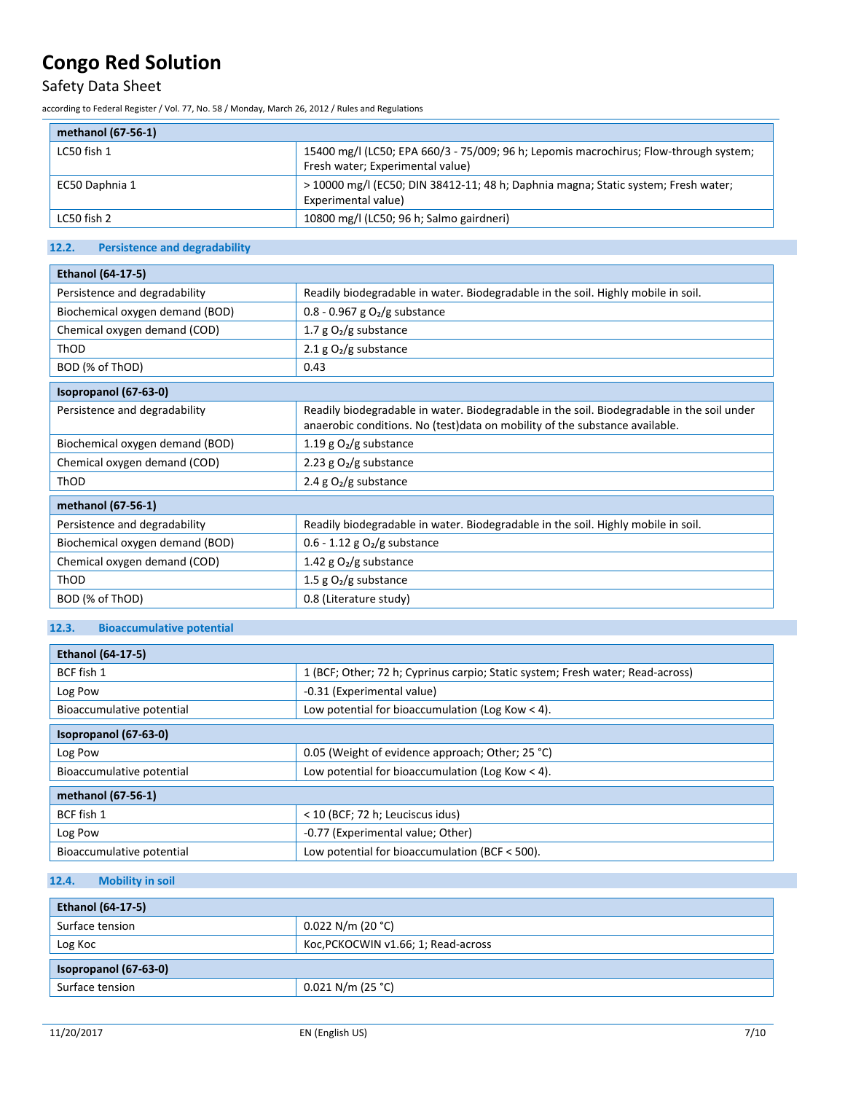# Safety Data Sheet

according to Federal Register / Vol. 77, No. 58 / Monday, March 26, 2012 / Rules and Regulations

# **methanol (67-56-1)**

| Thethanol (67-56-1) |                                                                                                                           |
|---------------------|---------------------------------------------------------------------------------------------------------------------------|
| LC50 fish 1         | 15400 mg/l (LC50; EPA 660/3 - 75/009; 96 h; Lepomis macrochirus; Flow-through system;<br>Fresh water; Experimental value) |
| EC50 Daphnia 1      | > 10000 mg/l (EC50; DIN 38412-11; 48 h; Daphnia magna; Static system; Fresh water;<br>Experimental value)                 |
| LC50 fish 2         | 10800 mg/l (LC50; 96 h; Salmo gairdneri)                                                                                  |

# **12.2. Persistence and degradability**

| <b>Ethanol (64-17-5)</b>        |                                                                                                                                                                            |  |
|---------------------------------|----------------------------------------------------------------------------------------------------------------------------------------------------------------------------|--|
| Persistence and degradability   | Readily biodegradable in water. Biodegradable in the soil. Highly mobile in soil.                                                                                          |  |
| Biochemical oxygen demand (BOD) | 0.8 - 0.967 g $O2/g$ substance                                                                                                                                             |  |
| Chemical oxygen demand (COD)    | 1.7 g $O_2/g$ substance                                                                                                                                                    |  |
| ThOD                            | 2.1 $g O2/g$ substance                                                                                                                                                     |  |
| BOD (% of ThOD)                 | 0.43                                                                                                                                                                       |  |
| Isopropanol (67-63-0)           |                                                                                                                                                                            |  |
| Persistence and degradability   | Readily biodegradable in water. Biodegradable in the soil. Biodegradable in the soil under<br>anaerobic conditions. No (test) data on mobility of the substance available. |  |
| Biochemical oxygen demand (BOD) | 1.19 g $O_2/g$ substance                                                                                                                                                   |  |
| Chemical oxygen demand (COD)    | 2.23 g $O_2/g$ substance                                                                                                                                                   |  |
| ThOD                            | 2.4 g $O_2/g$ substance                                                                                                                                                    |  |
| methanol (67-56-1)              |                                                                                                                                                                            |  |
| Persistence and degradability   | Readily biodegradable in water. Biodegradable in the soil. Highly mobile in soil.                                                                                          |  |
| Biochemical oxygen demand (BOD) | $0.6 - 1.12$ g O <sub>2</sub> /g substance                                                                                                                                 |  |
| Chemical oxygen demand (COD)    | 1.42 g $O2/g$ substance                                                                                                                                                    |  |
| ThOD                            | 1.5 g $O_2/g$ substance                                                                                                                                                    |  |
| BOD (% of ThOD)                 | 0.8 (Literature study)                                                                                                                                                     |  |

# **12.3. Bioaccumulative potential**

| <b>Ethanol (64-17-5)</b>  |                                                                                |  |
|---------------------------|--------------------------------------------------------------------------------|--|
| BCF fish 1                | 1 (BCF; Other; 72 h; Cyprinus carpio; Static system; Fresh water; Read-across) |  |
| Log Pow                   | -0.31 (Experimental value)                                                     |  |
| Bioaccumulative potential | Low potential for bioaccumulation (Log Kow $<$ 4).                             |  |
| Isopropanol (67-63-0)     |                                                                                |  |
| Log Pow                   | 0.05 (Weight of evidence approach; Other; 25 °C)                               |  |
| Bioaccumulative potential | Low potential for bioaccumulation (Log Kow $<$ 4).                             |  |
| methanol (67-56-1)        |                                                                                |  |
| BCF fish 1                | < 10 (BCF; 72 h; Leuciscus idus)                                               |  |
| Log Pow                   | -0.77 (Experimental value; Other)                                              |  |
| Bioaccumulative potential | Low potential for bioaccumulation (BCF < 500).                                 |  |

# **12.4. Mobility in soil**

| <b>Ethanol (64-17-5)</b> |                                     |  |
|--------------------------|-------------------------------------|--|
| Surface tension          | $0.022$ N/m (20 °C)                 |  |
| Log Koc                  | Koc, PCKOCWIN v1.66; 1; Read-across |  |
| Isopropanol (67-63-0)    |                                     |  |
| Surface tension          | $0.021$ N/m (25 °C)                 |  |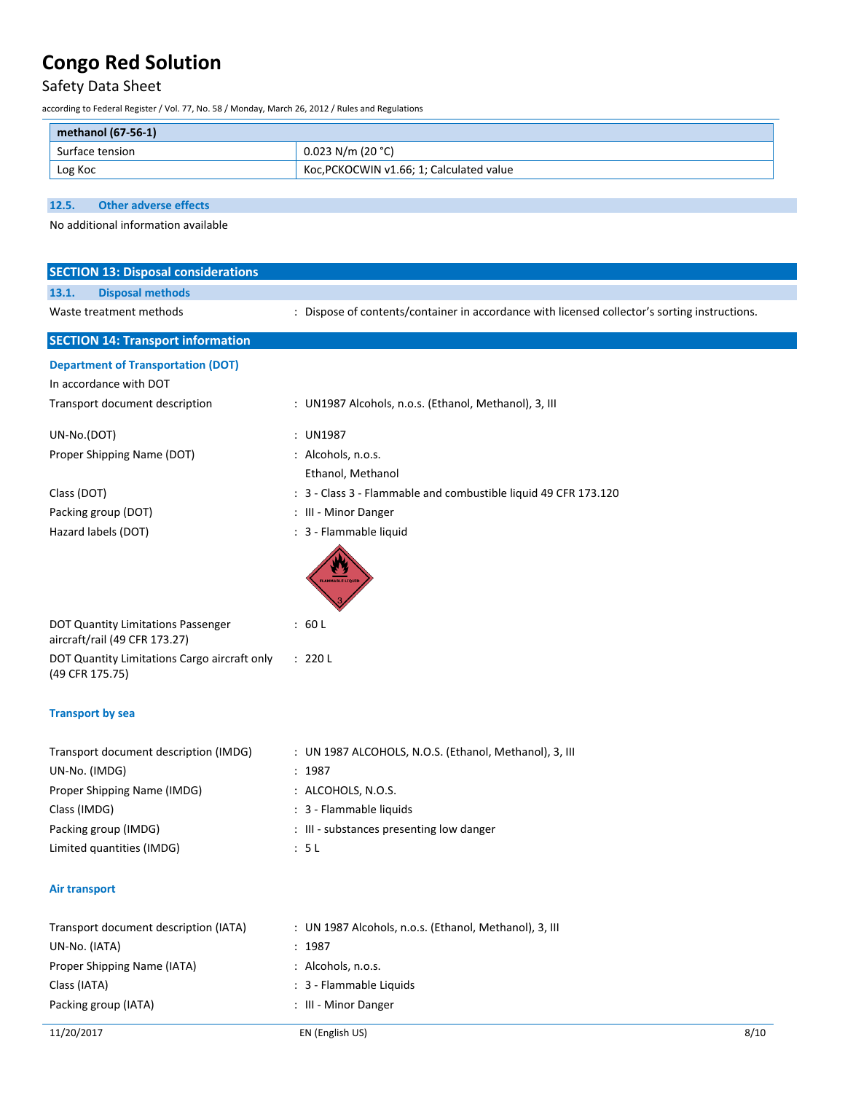# Safety Data Sheet

according to Federal Register / Vol. 77, No. 58 / Monday, March 26, 2012 / Rules and Regulations

| methanol (67-56-1) |                                          |
|--------------------|------------------------------------------|
| Surface tension    | $0.023$ N/m (20 °C)                      |
| Log Koc            | Koc, PCKOCWIN v1.66; 1; Calculated value |

**12.5. Other adverse effects**

No additional information available

| <b>SECTION 13: Disposal considerations</b>                          |                                                                                               |  |  |  |  |
|---------------------------------------------------------------------|-----------------------------------------------------------------------------------------------|--|--|--|--|
| <b>Disposal methods</b><br>13.1.                                    |                                                                                               |  |  |  |  |
| Waste treatment methods                                             | : Dispose of contents/container in accordance with licensed collector's sorting instructions. |  |  |  |  |
|                                                                     |                                                                                               |  |  |  |  |
| <b>SECTION 14: Transport information</b>                            |                                                                                               |  |  |  |  |
| <b>Department of Transportation (DOT)</b>                           |                                                                                               |  |  |  |  |
| In accordance with DOT                                              |                                                                                               |  |  |  |  |
| Transport document description                                      | : UN1987 Alcohols, n.o.s. (Ethanol, Methanol), 3, III                                         |  |  |  |  |
| UN-No.(DOT)                                                         | : UN1987                                                                                      |  |  |  |  |
| Proper Shipping Name (DOT)                                          | : Alcohols, n.o.s.                                                                            |  |  |  |  |
|                                                                     | Ethanol, Methanol                                                                             |  |  |  |  |
| Class (DOT)                                                         | : 3 - Class 3 - Flammable and combustible liquid 49 CFR 173.120                               |  |  |  |  |
| Packing group (DOT)                                                 | : III - Minor Danger                                                                          |  |  |  |  |
| Hazard labels (DOT)                                                 | : 3 - Flammable liquid                                                                        |  |  |  |  |
|                                                                     | <b>AMMABLE LIQ</b>                                                                            |  |  |  |  |
| DOT Quantity Limitations Passenger<br>aircraft/rail (49 CFR 173.27) | : 60 L                                                                                        |  |  |  |  |
| DOT Quantity Limitations Cargo aircraft only<br>(49 CFR 175.75)     | : 220 L                                                                                       |  |  |  |  |
| <b>Transport by sea</b>                                             |                                                                                               |  |  |  |  |
| Transport document description (IMDG)                               | : UN 1987 ALCOHOLS, N.O.S. (Ethanol, Methanol), 3, III                                        |  |  |  |  |
| UN-No. (IMDG)                                                       | : 1987                                                                                        |  |  |  |  |
| Proper Shipping Name (IMDG)                                         | : ALCOHOLS, N.O.S.                                                                            |  |  |  |  |
| Class (IMDG)                                                        | : 3 - Flammable liquids                                                                       |  |  |  |  |
| Packing group (IMDG)                                                | : III - substances presenting low danger                                                      |  |  |  |  |
| Limited quantities (IMDG)                                           | : 5L                                                                                          |  |  |  |  |
| Air transport                                                       |                                                                                               |  |  |  |  |
| Transport document description (IATA)                               | : UN 1987 Alcohols, n.o.s. (Ethanol, Methanol), 3, III                                        |  |  |  |  |
| UN-No. (IATA)                                                       | : 1987                                                                                        |  |  |  |  |
| Proper Shipping Name (IATA)                                         | : Alcohols, n.o.s.                                                                            |  |  |  |  |
| Class (IATA)                                                        | : 3 - Flammable Liquids                                                                       |  |  |  |  |
| Packing group (IATA)                                                | : III - Minor Danger                                                                          |  |  |  |  |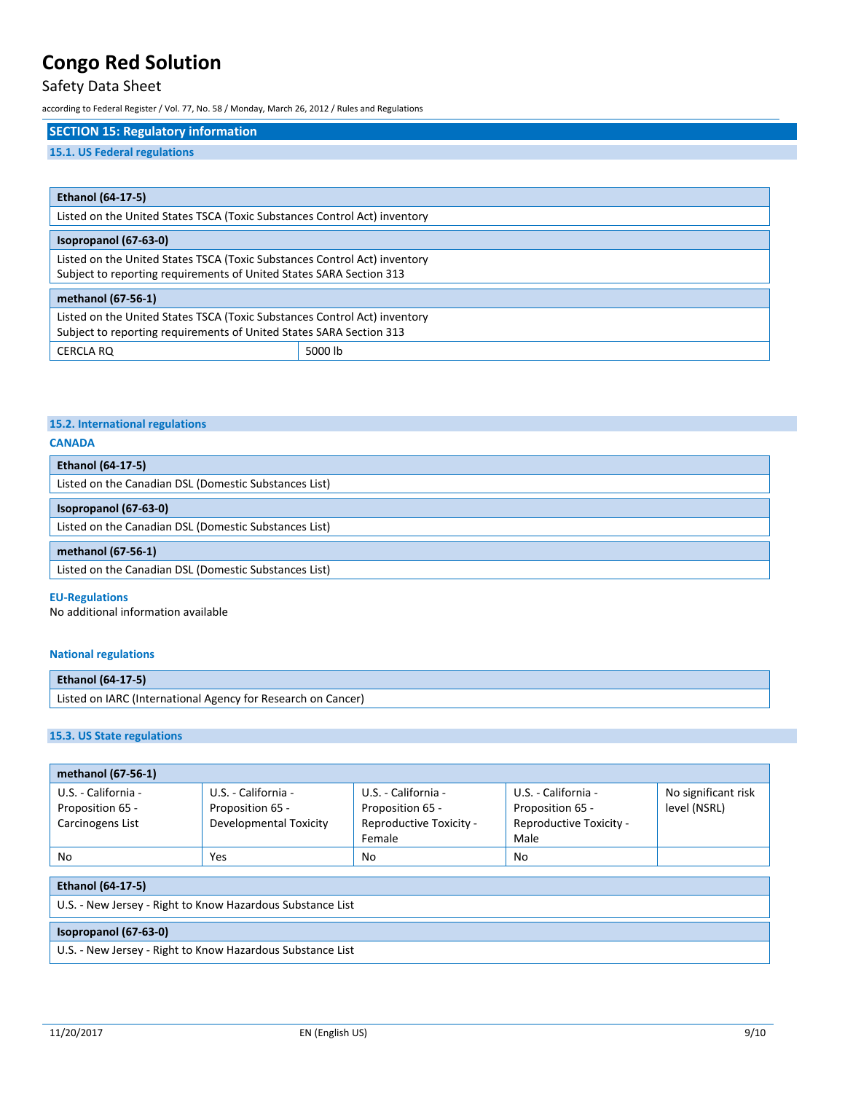# Safety Data Sheet

according to Federal Register / Vol. 77, No. 58 / Monday, March 26, 2012 / Rules and Regulations

# **SECTION 15: Regulatory information**

# **15.1. US Federal regulations**

| <b>Ethanol (64-17-5)</b>                                                                                                                         |         |  |
|--------------------------------------------------------------------------------------------------------------------------------------------------|---------|--|
| Listed on the United States TSCA (Toxic Substances Control Act) inventory                                                                        |         |  |
| Isopropanol (67-63-0)                                                                                                                            |         |  |
| Listed on the United States TSCA (Toxic Substances Control Act) inventory<br>Subject to reporting requirements of United States SARA Section 313 |         |  |
| methanol (67-56-1)                                                                                                                               |         |  |
| Listed on the United States TSCA (Toxic Substances Control Act) inventory<br>Subject to reporting requirements of United States SARA Section 313 |         |  |
| <b>CERCLA RO</b>                                                                                                                                 | 5000 lb |  |

# **15.2. International regulations**

### **CANADA**

| <b>Ethanol (64-17-5)</b>                              |  |
|-------------------------------------------------------|--|
| Listed on the Canadian DSL (Domestic Substances List) |  |
| Isopropanol (67-63-0)                                 |  |
| Listed on the Canadian DSL (Domestic Substances List) |  |
| methanol (67-56-1)                                    |  |
| Listed on the Canadian DSL (Domestic Substances List) |  |

### **EU-Regulations**

No additional information available

### **National regulations**

| <b>Ethanol (64-17-5)</b>                                     |  |
|--------------------------------------------------------------|--|
| Listed on IARC (International Agency for Research on Cancer) |  |

# **15.3. US State regulations**

| methanol (67-56-1)                                         |                               |                         |                         |                     |
|------------------------------------------------------------|-------------------------------|-------------------------|-------------------------|---------------------|
| U.S. - California -                                        | U.S. - California -           | U.S. - California -     | U.S. - California -     | No significant risk |
| Proposition 65 -                                           | Proposition 65 -              | Proposition 65 -        | Proposition 65 -        | level (NSRL)        |
| Carcinogens List                                           | <b>Developmental Toxicity</b> | Reproductive Toxicity - | Reproductive Toxicity - |                     |
|                                                            |                               | Female                  | Male                    |                     |
| No                                                         | Yes                           | No                      | No                      |                     |
| <b>Ethanol (64-17-5)</b>                                   |                               |                         |                         |                     |
|                                                            |                               |                         |                         |                     |
| U.S. - New Jersey - Right to Know Hazardous Substance List |                               |                         |                         |                     |
| Isopropanol (67-63-0)                                      |                               |                         |                         |                     |
| U.S. - New Jersey - Right to Know Hazardous Substance List |                               |                         |                         |                     |